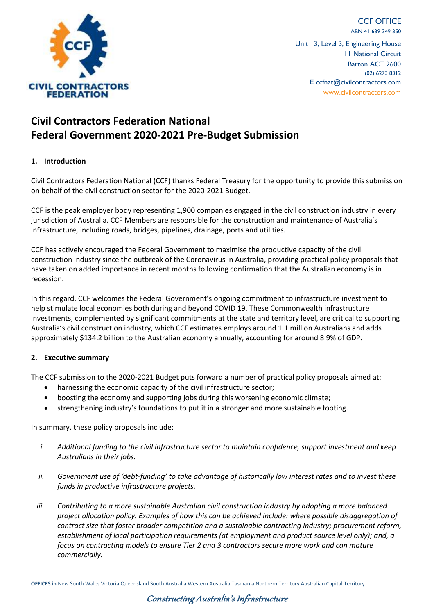

CCF OFFICE ABN 41 639 349 350 Unit 13, Level 3, Engineering House 11 National Circuit Barton ACT 2600 (02) 6273 8312 **E** ccfnat@civilcontractors.com www.civilcontractors.com

# **Civil Contractors Federation National Federal Government 2020-2021 Pre-Budget Submission**

## **1. Introduction**

Civil Contractors Federation National (CCF) thanks Federal Treasury for the opportunity to provide this submission on behalf of the civil construction sector for the 2020-2021 Budget.

CCF is the peak employer body representing 1,900 companies engaged in the civil construction industry in every jurisdiction of Australia. CCF Members are responsible for the construction and maintenance of Australia's infrastructure, including roads, bridges, pipelines, drainage, ports and utilities.

CCF has actively encouraged the Federal Government to maximise the productive capacity of the civil construction industry since the outbreak of the Coronavirus in Australia, providing practical policy proposals that have taken on added importance in recent months following confirmation that the Australian economy is in recession.

In this regard, CCF welcomes the Federal Government's ongoing commitment to infrastructure investment to help stimulate local economies both during and beyond COVID 19. These Commonwealth infrastructure investments, complemented by significant commitments at the state and territory level, are critical to supporting Australia's civil construction industry, which CCF estimates employs around 1.1 million Australians and adds approximately \$134.2 billion to the Australian economy annually, accounting for around 8.9% of GDP.

#### **2. Executive summary**

The CCF submission to the 2020-2021 Budget puts forward a number of practical policy proposals aimed at:

- harnessing the economic capacity of the civil infrastructure sector;
- boosting the economy and supporting jobs during this worsening economic climate;
- strengthening industry's foundations to put it in a stronger and more sustainable footing.

In summary, these policy proposals include:

- *i. Additional funding to the civil infrastructure sector to maintain confidence, support investment and keep Australians in their jobs.*
- *ii.* Government use of 'debt-funding' to take advantage of historically low interest rates and to invest these *funds in productive infrastructure projects.*
- *iii. Contributing to a more sustainable Australian civil construction industry by adopting a more balanced project allocation policy. Examples of how this can be achieved include: where possible disaggregation of contract size that foster broader competition and a sustainable contracting industry; procurement reform, establishment of local participation requirements (at employment and product source level only); and, a focus on contracting models to ensure Tier 2 and 3 contractors secure more work and can mature commercially.*

**OFFICES in** New South Wales Victoria Queensland South Australia Western Australia Tasmania Northern Territory Australian Capital Territory

## Constructing Australia's Infrastructure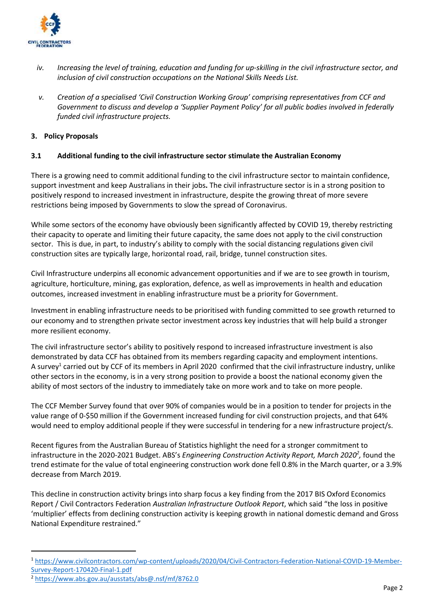

- *iv. Increasing the level of training, education and funding for up-skilling in the civil infrastructure sector, and inclusion of civil construction occupations on the National Skills Needs List.*
- *v. Creation of a specialised 'Civil Construction Working Group' comprising representatives from CCF and Government to discuss and develop a 'Supplier Payment Policy' for all public bodies involved in federally funded civil infrastructure projects.*

## **3. Policy Proposals**

#### **3.1 Additional funding to the civil infrastructure sector stimulate the Australian Economy**

There is a growing need to commit additional funding to the civil infrastructure sector to maintain confidence, support investment and keep Australians in their jobs**.** The civil infrastructure sector is in a strong position to positively respond to increased investment in infrastructure, despite the growing threat of more severe restrictions being imposed by Governments to slow the spread of Coronavirus.

While some sectors of the economy have obviously been significantly affected by COVID 19, thereby restricting their capacity to operate and limiting their future capacity, the same does not apply to the civil construction sector. This is due, in part, to industry's ability to comply with the social distancing regulations given civil construction sites are typically large, horizontal road, rail, bridge, tunnel construction sites.

Civil Infrastructure underpins all economic advancement opportunities and if we are to see growth in tourism, agriculture, horticulture, mining, gas exploration, defence, as well as improvements in health and education outcomes, increased investment in enabling infrastructure must be a priority for Government.

Investment in enabling infrastructure needs to be prioritised with funding committed to see growth returned to our economy and to strengthen private sector investment across key industries that will help build a stronger more resilient economy.

The civil infrastructure sector's ability to positively respond to increased infrastructure investment is also demonstrated by data CCF has obtained from its members regarding capacity and employment intentions. A survey<sup>1</sup> carried out by CCF of its members in April 2020 confirmed that the civil infrastructure industry, unlike other sectors in the economy, is in a very strong position to provide a boost the national economy given the ability of most sectors of the industry to immediately take on more work and to take on more people.

The CCF Member Survey found that over 90% of companies would be in a position to tender for projects in the value range of 0-\$50 million if the Government increased funding for civil construction projects, and that 64% would need to employ additional people if they were successful in tendering for a new infrastructure project/s.

Recent figures from the Australian Bureau of Statistics highlight the need for a stronger commitment to infrastructure in the 2020-2021 Budget. ABS's *Engineering Construction Activity Report, March 2020<sup>2</sup>, found the* trend estimate for the value of total engineering construction work done fell 0.8% in the March quarter, or a 3.9% decrease from March 2019.

This decline in construction activity brings into sharp focus a key finding from the 2017 BIS Oxford Economics Report / Civil Contractors Federation *Australian Infrastructure Outlook Report*, which said "the loss in positive 'multiplier' effects from declining construction activity is keeping growth in national domestic demand and Gross National Expenditure restrained."

<sup>1</sup> [https://www.civilcontractors.com/wp-content/uploads/2020/04/Civil-Contractors-Federation-National-COVID-19-Member-](https://www.civilcontractors.com/wp-content/uploads/2020/04/Civil-Contractors-Federation-National-COVID-19-Member-Survey-Report-170420-Final-1.pdf)[Survey-Report-170420-Final-1.pdf](https://www.civilcontractors.com/wp-content/uploads/2020/04/Civil-Contractors-Federation-National-COVID-19-Member-Survey-Report-170420-Final-1.pdf)

<sup>2</sup> <https://www.abs.gov.au/ausstats/abs@.nsf/mf/8762.0>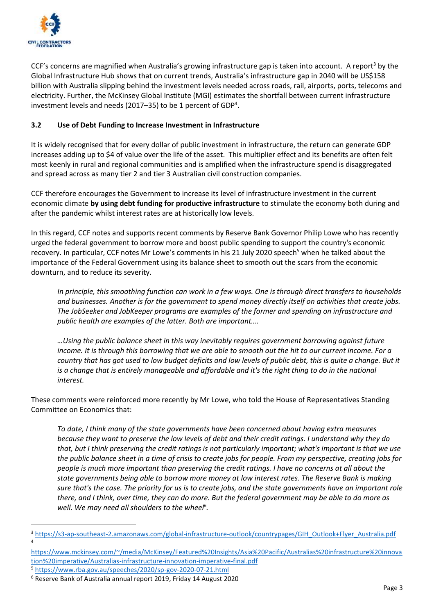

CCF's concerns are magnified when Australia's growing infrastructure gap is taken into account. A report<sup>3</sup> by the Global Infrastructure Hub shows that on current trends, Australia's infrastructure gap in 2040 will be US\$158 billion with Australia slipping behind the investment levels needed across roads, rail, airports, ports, telecoms and electricity. Further, the McKinsey Global Institute (MGI) estimates the shortfall between current infrastructure investment levels and needs (2017–35) to be 1 percent of GDP<sup>4</sup>.

## **3.2 Use of Debt Funding to Increase Investment in Infrastructure**

It is widely recognised that for every dollar of public investment in infrastructure, the return can generate GDP increases adding up to \$4 of value over the life of the asset. This multiplier effect and its benefits are often felt most keenly in rural and regional communities and is amplified when the infrastructure spend is disaggregated and spread across as many tier 2 and tier 3 Australian civil construction companies.

CCF therefore encourages the Government to increase its level of infrastructure investment in the current economic climate **by using debt funding for productive infrastructure** to stimulate the economy both during and after the pandemic whilst interest rates are at historically low levels.

In this regard, CCF notes and supports recent comments by Reserve Bank Governor Philip Lowe who has recently urged the federal government to borrow more and boost public spending to support the country's economic recovery. In particular, CCF notes Mr Lowe's comments in his 21 July 2020 speech<sup>5</sup> when he talked about the importance of the Federal Government using its balance sheet to smooth out the scars from the economic downturn, and to reduce its severity.

*In principle, this smoothing function can work in a few ways. One is through direct transfers to households and businesses. Another is for the government to spend money directly itself on activities that create jobs. The JobSeeker and JobKeeper programs are examples of the former and spending on infrastructure and public health are examples of the latter. Both are important….* 

*…Using the public balance sheet in this way inevitably requires government borrowing against future income. It is through this borrowing that we are able to smooth out the hit to our current income. For a country that has got used to low budget deficits and low levels of public debt, this is quite a change. But it is a change that is entirely manageable and affordable and it's the right thing to do in the national interest.* 

These comments were reinforced more recently by Mr Lowe, who told the House of Representatives Standing Committee on Economics that:

*To date, I think many of the state governments have been concerned about having extra measures because they want to preserve the low levels of debt and their credit ratings. I understand why they do that, but I think preserving the credit ratings is not particularly important; what's important is that we use the public balance sheet in a time of crisis to create jobs for people. From my perspective, creating jobs for people is much more important than preserving the credit ratings. I have no concerns at all about the state governments being able to borrow more money at low interest rates. The Reserve Bank is making sure that's the case. The priority for us is to create jobs, and the state governments have an important role there, and I think, over time, they can do more. But the federal government may be able to do more as well. We may need all shoulders to the wheel<sup>6</sup> .*

4

<sup>3</sup> [https://s3-ap-southeast-2.amazonaws.com/global-infrastructure-outlook/countrypages/GIH\\_Outlook+Flyer\\_Australia.pdf](https://s3-ap-southeast-2.amazonaws.com/global-infrastructure-outlook/countrypages/GIH_Outlook+Flyer_Australia.pdf)

[https://www.mckinsey.com/~/media/McKinsey/Featured%20Insights/Asia%20Pacific/Australias%20infrastructure%20innova](https://www.mckinsey.com/~/media/McKinsey/Featured%20Insights/Asia%20Pacific/Australias%20infrastructure%20innovation%20imperative/Australias-infrastructure-innovation-imperative-final.pdf) [tion%20imperative/Australias-infrastructure-innovation-imperative-final.pdf](https://www.mckinsey.com/~/media/McKinsey/Featured%20Insights/Asia%20Pacific/Australias%20infrastructure%20innovation%20imperative/Australias-infrastructure-innovation-imperative-final.pdf)

<sup>5</sup> <https://www.rba.gov.au/speeches/2020/sp-gov-2020-07-21.html>

<sup>6</sup> Reserve Bank of Australia annual report 2019, Friday 14 August 2020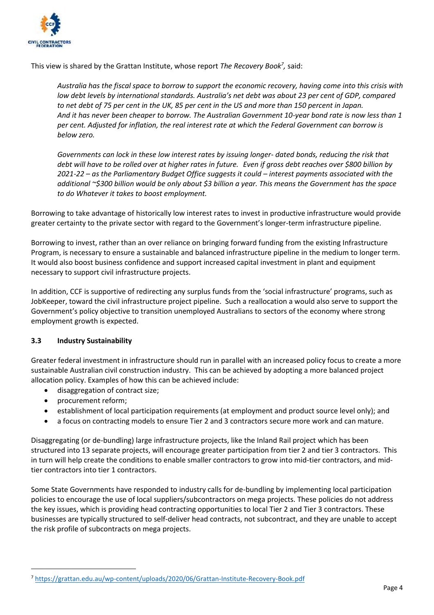

This view is shared by the Grattan Institute, whose report *The Recovery Book<sup>7</sup> ,* said:

*Australia has the fiscal space to borrow to support the economic recovery, having come into this crisis with low debt levels by international standards. Australia's net debt was about 23 per cent of GDP, compared to net debt of 75 per cent in the UK, 85 per cent in the US and more than 150 percent in Japan. And it has never been cheaper to borrow. The Australian Government 10-year bond rate is now less than 1 per cent. Adjusted for inflation, the real interest rate at which the Federal Government can borrow is below zero.*

*Governments can lock in these low interest rates by issuing longer- dated bonds, reducing the risk that debt will have to be rolled over at higher rates in future. Even if gross debt reaches over \$800 billion by 2021-22 – as the Parliamentary Budget Office suggests it could – interest payments associated with the additional ~\$300 billion would be only about \$3 billion a year. This means the Government has the space to do Whatever it takes to boost employment.*

Borrowing to take advantage of historically low interest rates to invest in productive infrastructure would provide greater certainty to the private sector with regard to the Government's longer-term infrastructure pipeline.

Borrowing to invest, rather than an over reliance on bringing forward funding from the existing Infrastructure Program, is necessary to ensure a sustainable and balanced infrastructure pipeline in the medium to longer term. It would also boost business confidence and support increased capital investment in plant and equipment necessary to support civil infrastructure projects.

In addition, CCF is supportive of redirecting any surplus funds from the 'social infrastructure' programs, such as JobKeeper, toward the civil infrastructure project pipeline. Such a reallocation a would also serve to support the Government's policy objective to transition unemployed Australians to sectors of the economy where strong employment growth is expected.

## **3.3 Industry Sustainability**

Greater federal investment in infrastructure should run in parallel with an increased policy focus to create a more sustainable Australian civil construction industry. This can be achieved by adopting a more balanced project allocation policy. Examples of how this can be achieved include:

- disaggregation of contract size;
- procurement reform;
- establishment of local participation requirements (at employment and product source level only); and
- a focus on contracting models to ensure Tier 2 and 3 contractors secure more work and can mature.

Disaggregating (or de-bundling) large infrastructure projects, like the Inland Rail project which has been structured into 13 separate projects, will encourage greater participation from tier 2 and tier 3 contractors. This in turn will help create the conditions to enable smaller contractors to grow into mid-tier contractors, and midtier contractors into tier 1 contractors.

Some State Governments have responded to industry calls for de-bundling by implementing local participation policies to encourage the use of local suppliers/subcontractors on mega projects. These policies do not address the key issues, which is providing head contracting opportunities to local Tier 2 and Tier 3 contractors. These businesses are typically structured to self-deliver head contracts, not subcontract, and they are unable to accept the risk profile of subcontracts on mega projects.

<sup>7</sup> <https://grattan.edu.au/wp-content/uploads/2020/06/Grattan-Institute-Recovery-Book.pdf>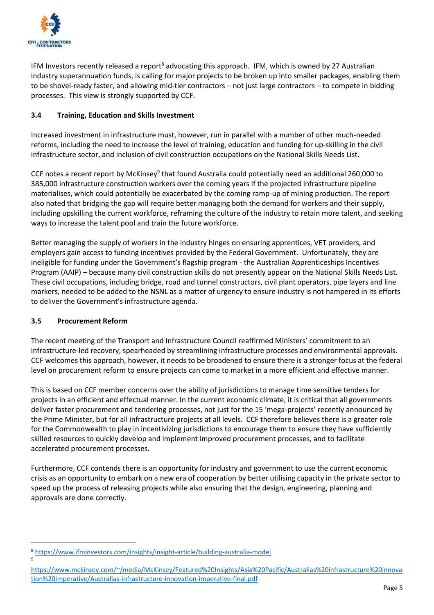

IFM Investors recently released a report<sup>8</sup> advocating this approach. IFM, which is owned by 27 Australian industry superannuation funds, is calling for major projects to be broken up into smaller packages, enabling them to be shovel-ready faster, and allowing mid-tier contractors – not just large contractors – to compete in bidding processes. This view is strongly supported by CCF.

## **3.4 Training, Education and Skills Investment**

Increased investment in infrastructure must, however, run in parallel with a number of other much-needed reforms, including the need to increase the level of training, education and funding for up-skilling in the civil infrastructure sector, and inclusion of civil construction occupations on the National Skills Needs List.

CCF notes a recent report by McKinsey<sup>9</sup> that found Australia could potentially need an additional 260,000 to 385,000 infrastructure construction workers over the coming years if the projected infrastructure pipeline materialises, which could potentially be exacerbated by the coming ramp-up of mining production. The report also noted that bridging the gap will require better managing both the demand for workers and their supply, including upskilling the current workforce, reframing the culture of the industry to retain more talent, and seeking ways to increase the talent pool and train the future workforce.

Better managing the supply of workers in the industry hinges on ensuring apprentices, VET providers, and employers gain access to funding incentives provided by the Federal Government. Unfortunately, they are ineligible for funding under the Government's flagship program - the Australian Apprenticeships Incentives Program (AAIP) – because many civil construction skills do not presently appear on the National Skills Needs List. These civil occupations, including bridge, road and tunnel constructors, civil plant operators, pipe layers and line markers, needed to be added to the NSNL as a matter of urgency to ensure industry is not hampered in its efforts to deliver the Government's infrastructure agenda.

## **3.5 Procurement Reform**

9

The recent meeting of the Transport and Infrastructure Council reaffirmed Ministers' commitment to an infrastructure-led recovery, spearheaded by streamlining infrastructure processes and environmental approvals. CCF welcomes this approach, however, it needs to be broadened to ensure there is a stronger focus at the federal level on procurement reform to ensure projects can come to market in a more efficient and effective manner.

This is based on CCF member concerns over the ability of jurisdictions to manage time sensitive tenders for projects in an efficient and effectual manner. In the current economic climate, it is critical that all governments deliver faster procurement and tendering processes, not just for the 15 'mega-projects' recently announced by the Prime Minister, but for all infrastructure projects at all levels. CCF therefore believes there is a greater role for the Commonwealth to play in incentivizing jurisdictions to encourage them to ensure they have sufficiently skilled resources to quickly develop and implement improved procurement processes, and to facilitate accelerated procurement processes.

Furthermore, CCF contends there is an opportunity for industry and government to use the current economic crisis as an opportunity to embark on a new era of cooperation by better utilising capacity in the private sector to speed up the process of releasing projects while also ensuring that the design, engineering, planning and approvals are done correctly.

<sup>8</sup> <https://www.ifminvestors.com/insights/insight-article/building-australia-model>

[https://www.mckinsey.com/~/media/McKinsey/Featured%20Insights/Asia%20Pacific/Australias%20infrastructure%20innova](https://www.mckinsey.com/~/media/McKinsey/Featured%20Insights/Asia%20Pacific/Australias%20infrastructure%20innovation%20imperative/Australias-infrastructure-innovation-imperative-final.pdf) [tion%20imperative/Australias-infrastructure-innovation-imperative-final.pdf](https://www.mckinsey.com/~/media/McKinsey/Featured%20Insights/Asia%20Pacific/Australias%20infrastructure%20innovation%20imperative/Australias-infrastructure-innovation-imperative-final.pdf)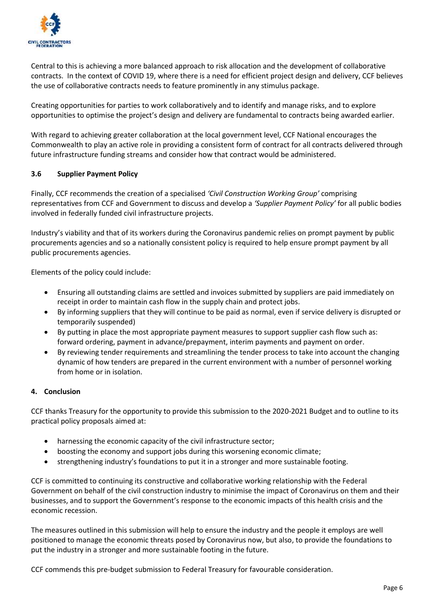

Central to this is achieving a more balanced approach to risk allocation and the development of collaborative contracts. In the context of COVID 19, where there is a need for efficient project design and delivery, CCF believes the use of collaborative contracts needs to feature prominently in any stimulus package.

Creating opportunities for parties to work collaboratively and to identify and manage risks, and to explore opportunities to optimise the project's design and delivery are fundamental to contracts being awarded earlier.

With regard to achieving greater collaboration at the local government level, CCF National encourages the Commonwealth to play an active role in providing a consistent form of contract for all contracts delivered through future infrastructure funding streams and consider how that contract would be administered.

#### **3.6 Supplier Payment Policy**

Finally, CCF recommends the creation of a specialised *'Civil Construction Working Group'* comprising representatives from CCF and Government to discuss and develop a *'Supplier Payment Policy'* for all public bodies involved in federally funded civil infrastructure projects.

Industry's viability and that of its workers during the Coronavirus pandemic relies on prompt payment by public procurements agencies and so a nationally consistent policy is required to help ensure prompt payment by all public procurements agencies.

Elements of the policy could include:

- Ensuring all outstanding claims are settled and invoices submitted by suppliers are paid immediately on receipt in order to maintain cash flow in the supply chain and protect jobs.
- By informing suppliers that they will continue to be paid as normal, even if service delivery is disrupted or temporarily suspended)
- By putting in place the most appropriate payment measures to support supplier cash flow such as: forward ordering, payment in advance/prepayment, interim payments and payment on order.
- By reviewing tender requirements and streamlining the tender process to take into account the changing dynamic of how tenders are prepared in the current environment with a number of personnel working from home or in isolation.

#### **4. Conclusion**

CCF thanks Treasury for the opportunity to provide this submission to the 2020-2021 Budget and to outline to its practical policy proposals aimed at:

- harnessing the economic capacity of the civil infrastructure sector;
- boosting the economy and support jobs during this worsening economic climate;
- strengthening industry's foundations to put it in a stronger and more sustainable footing.

CCF is committed to continuing its constructive and collaborative working relationship with the Federal Government on behalf of the civil construction industry to minimise the impact of Coronavirus on them and their businesses, and to support the Government's response to the economic impacts of this health crisis and the economic recession.

The measures outlined in this submission will help to ensure the industry and the people it employs are well positioned to manage the economic threats posed by Coronavirus now, but also, to provide the foundations to put the industry in a stronger and more sustainable footing in the future.

CCF commends this pre-budget submission to Federal Treasury for favourable consideration.